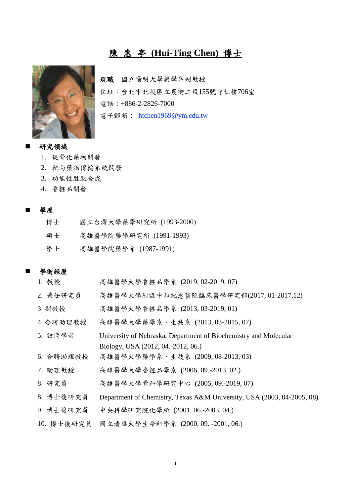# 陳 惠 亭 **(Hui-Ting Chen)** 博士



現職 國立陽明大學藥學系副教授 住址:台北市北投區立農街二段155號守仁樓706室 電話:+886-2-2826-7000 電子郵箱: [htchen1969@ym.edu.tw](mailto:htchen1969@ym.edu.tw)

## 研究領域

- 1. 促骨化藥物開發
- 2. 靶向藥物傳輸系統開發
- 3. 功能性胜肽合成
- 4. 香粧品開發

#### 學歷

| 博士 | 國立台灣大學藥學研究所 (1993-2000) |
|----|-------------------------|
| 碩士 | 高雄醫學院藥學研究所 (1991-1993)  |
| 學士 | 高雄醫學院藥學系 (1987-1991)    |

#### 學術經歷

| 1. 教授      | 高雄醫學大學香粧品學系 (2019,02-2019,07)                                          |
|------------|------------------------------------------------------------------------|
| 2. 兼任研究員   | 高雄醫學大學附設中和紀念醫院臨床醫學研究部(2017,01-2017,12)                                 |
| 3 副教授      | 高雄醫學大學香粧品學系 (2013,03-2019,01)                                          |
| 4 合聘助理教授   | 高雄醫學大學藥學系、生技系 (2013,03-2015,07)                                        |
| 5. 訪問學者    | University of Nebraska, Department of Biochemistry and Molecular       |
|            | Biology, USA (2012, 04.-2012, 06.)                                     |
| 6. 合聘助理教授  | 高雄醫學大學藥學系、生技系 (2009,08-2013,03)                                        |
| 7. 助理教授    | 高雄醫學大學香粧品學系 (2006,09.-2013,02.)                                        |
| 8. 研究員     | 高雄醫學大學骨科學研究中心 (2005,09.-2019,07)                                       |
| 8. 博士後研究員  | Department of Chemistry, Texas A&M University, USA (2003, 04-2005, 08) |
| 9. 博士後研究員  | 中央科學研究院化學所 (2001,06.-2003,04.)                                         |
| 10. 博士後研究員 | 國立清華大學生命科學系 (2000,09.-2001,06.)                                        |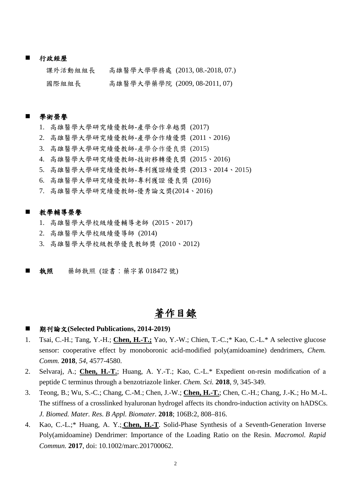#### 行政經歷

| 課外活動組組長 | 高雄醫學大學學務處 (2013,08.-2018,07.) |  |
|---------|-------------------------------|--|
| 國際組組長   | 高雄醫學大學藥學院 (2009,08-2011,07)   |  |

#### 學術榮譽

- 1. 高雄醫學大學研究績優教師-產學合作卓越獎 (2017)
- 2. 高雄醫學大學研究績優教師-產學合作績優獎 (2011、2016)
- 3. 高雄醫學大學研究績優教師-產學合作優良獎 (2015)
- 4. 高雄醫學大學研究績優教師-技術移轉優良獎 (2015、2016)
- 5. 高雄醫學大學研究績優教師-專利獲證績優獎 (2013、2014、2015)
- 6. 高雄醫學大學研究績優教師-專利獲證 優良獎 (2016)
- 7. 高雄醫學大學研究績優教師-優秀論文獎(2014、2016)

#### 教學輔導榮譽

- 1. 高雄醫學大學校級績優輔導老師 (2015、2017)
- 2. 高雄醫學大學校級績優導師 (2014)
- 3. 高雄醫學大學校級教學優良教師獎 (2010、2012)
- 執照 藥師執照 (證書:藥字第 018472 號)

# 著作目錄

- 期刊論文**(Selected Publications, 2014-2019)**
- 1. Tsai, C.-H.; Tang, Y.-H.; **Chen, H.-T.;** Yao, Y.-W.; Chien, T.-C.;\* Kao, C.-L.\* A selective glucose sensor: cooperative effect by monoboronic acid-modified poly(amidoamine) dendrimers, *Chem. Comm.* **2018**, *54*, 4577-4580.
- 2. Selvaraj, A.; **Chen, H.-T.**; Huang, A. Y.-T.; Kao, C.-L.\* Expedient on-resin modification of a peptide C terminus through a benzotriazole linker. *Chem. Sci.* **2018**, *9*, 345-349.
- 3. Teong, B.; Wu, S.-C.; Chang, C.-M.; Chen, J.-W.; **Chen, H.-T.**; Chen, C.-H.; Chang, J.-K.; Ho M.-L. The stiffness of a crosslinked hyaluronan hydrogel affects its chondro-induction activity on hADSCs. *J. Biomed. Mater. Res. B Appl. Biomater.* **2018**; 106B:2, 808–816.
- 4. Kao, C.-L.;\* Huang, A. Y.; **Chen, H.-T**. Solid-Phase Synthesis of a Seventh-Generation Inverse Poly(amidoamine) Dendrimer: Importance of the Loading Ratio on the Resin. *Macromol. Rapid Commun.* **2017**, doi: 10.1002/marc.201700062.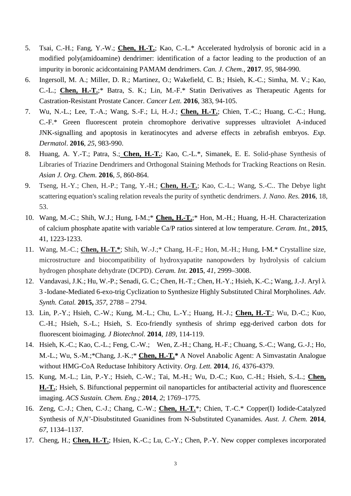- 5. Tsai, C.-H.; Fang, Y.-W.; **Chen, H.-T.**; Kao, C.-L.\* Accelerated hydrolysis of boronic acid in a modified poly(amidoamine) dendrimer: identification of a factor leading to the production of an impurity in boronic acidcontaining PAMAM dendrimers. *Can. J. Chem.*, **2017**. *95*, 984-990.
- 6. Ingersoll, M. A.; Miller, D. R.; Martinez, O.; Wakefield, C. B.; Hsieh, K.-C.; Simha, M. V.; Kao, C.-L.; **Chen, H.-T.**;\* Batra, S. K.; Lin, M.-F.\* Statin Derivatives as Therapeutic Agents for Castration-Resistant Prostate Cancer. *Cancer Lett.* **2016**, 383, 94-105.
- 7. Wu, N.-L.; Lee, T.-A.; Wang, S.-F.; Li, H.-J.; **Chen, H.-T.**; Chien, T.-C.; Huang, C.-C.; Hung, C.-F.\* Green fluorescent protein chromophore derivative suppresses ultraviolet A-induced JNK-signalling and apoptosis in keratinocytes and adverse effects in zebrafish embryos. *Exp. Dermatol*. **2016**, *25*, 983-990.
- 8. Huang, A. Y.-T.; Patra, S.; **Chen, H.-T.**; Kao, C.-L.\*, Simanek, E. E. Solid-phase Synthesis of Libraries of Triazine Dendrimers and Orthogonal Staining Methods for Tracking Reactions on Resin. *Asian J. Org. Chem.* **2016**, *5*, 860-864.
- 9. Tseng, H.-Y.; Chen, H.-P.; Tang, Y.-H.; **Chen, H.-T.**; Kao, C.-L.; Wang, S.-C.. The Debye light scattering equation's scaling relation reveals the purity of synthetic dendrimers. *J. Nano. Res.* **2016**, 18, 53.
- 10. Wang, M.-C.; Shih, W.J.; Hung, I-M.;\* **Chen, H.-T.**;\* Hon, M.-H.; Huang, H.-H. Characterization of calcium phosphate apatite with variable Ca/P ratios sintered at low temperature. *Ceram. Int.*, **2015**, 41, 1223-1233.
- 11. Wang, M.-C.; **Chen, H.-T.\***; Shih, W.-J.;\* Chang, H.-F.; Hon, M.-H.; Hung, I-M.\* Crystalline size, microstructure and biocompatibility of hydroxyapatite nanopowders by hydrolysis of calcium hydrogen phosphate dehydrate (DCPD). *Ceram. Int.* **2015**, *41*, 2999–3008.
- 12. Vandavasi, J.K.; Hu, W.-P.; Senadi, G. C.; Chen, H.-T.; Chen, H.-Y.; Hsieh, K.-C.; Wang, J.-J. Aryl λ 3 -Iodane-Mediated 6-exo-trig Cyclization to Synthesize Highly Substituted Chiral Morpholines. *Adv. Synth. Catal.* **2015,** *357*, 2788 – 2794.
- 13. Lin, P.-Y.; Hsieh, C.-W.; Kung, M.-L.; Chu, L.-Y.; Huang, H.-J.; **Chen, H.-T**.; Wu, D.-C.; Kuo, C.-H.; Hsieh, S.-L.; Hsieh, S. Eco-friendly synthesis of shrimp egg-derived carbon dots for fluorescent bioimaging. *J Biotechnol.* **2014**, *189*, 114-119.
- 14. Hsieh, K.-C.; Kao, C.-L.; Feng, C.-W.; Wen, Z.-H.; Chang, H.-F.; Chuang, S.-C.; Wang, G.-J.; Ho, M.-L.; Wu, S.-M.;\*Chang, J.-K.;\* **Chen, H.-T.\*** A Novel Anabolic Agent: A Simvastatin Analogue without HMG-CoA Reductase Inhibitory Activity. *Org. Lett.* **2014**, *16*, 4376-4379.
- 15. Kung, M.-L.; Lin, P.-Y.; Hsieh, C.-W.; Tai, M.-H.; Wu, D.-C.; Kuo, C.-H.; Hsieh, S.-L.; **Chen, H.-T.**; Hsieh, S. Bifunctional peppermint oil nanoparticles for antibacterial activity and fluorescence imaging. *ACS Sustain. Chem. Eng.;* **2014**, *2*; 1769–1775.
- 16. Zeng, C.-J.; Chen, C.-J.; Chang, C.-W.; **Chen, H.-T.**\*; Chien, T.-C.\* Copper(I) Iodide-Catalyzed Synthesis of *N,N'*-Disubstituted Guanidines from N-Substituted Cyanamides. *Aust. J. Chem.* **2014**, *67*, 1134–1137.
- 17. Cheng, H.; **Chen, H.-T.**; Hsien, K.-C.; Lu, C.-Y.; Chen, P.-Y. New copper complexes incorporated